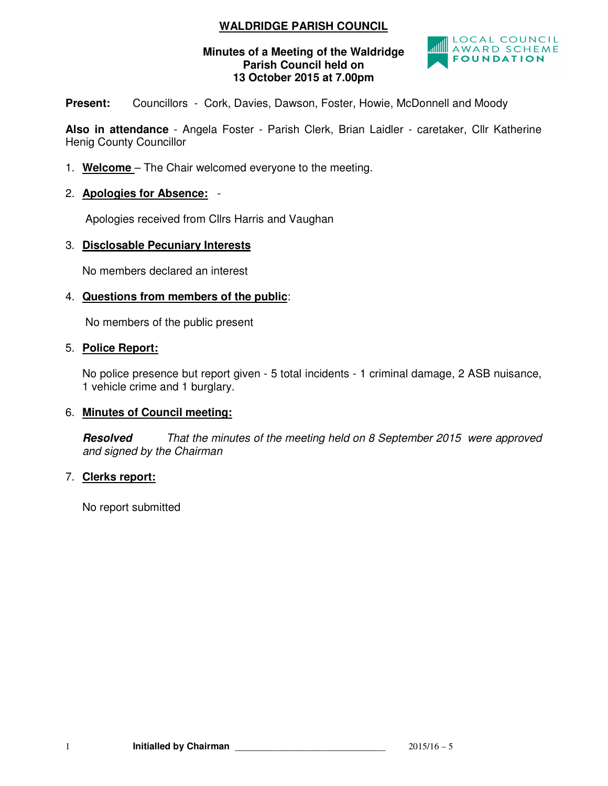# **WALDRIDGE PARISH COUNCIL**

#### **Minutes of a Meeting of the Waldridge Parish Council held on 13 October 2015 at 7.00pm**



Present: Councillors - Cork, Davies, Dawson, Foster, Howie, McDonnell and Moody

**Also in attendance** - Angela Foster - Parish Clerk, Brian Laidler - caretaker, Cllr Katherine Henig County Councillor

- 1. **Welcome**  The Chair welcomed everyone to the meeting.
- 2. **Apologies for Absence:** -

Apologies received from Cllrs Harris and Vaughan

## 3. **Disclosable Pecuniary Interests**

No members declared an interest

#### 4. **Questions from members of the public**:

No members of the public present

#### 5. **Police Report:**

No police presence but report given - 5 total incidents - 1 criminal damage, 2 ASB nuisance, 1 vehicle crime and 1 burglary.

#### 6. **Minutes of Council meeting:**

**Resolved** That the minutes of the meeting held on 8 September 2015 were approved and signed by the Chairman

#### 7. **Clerks report:**

No report submitted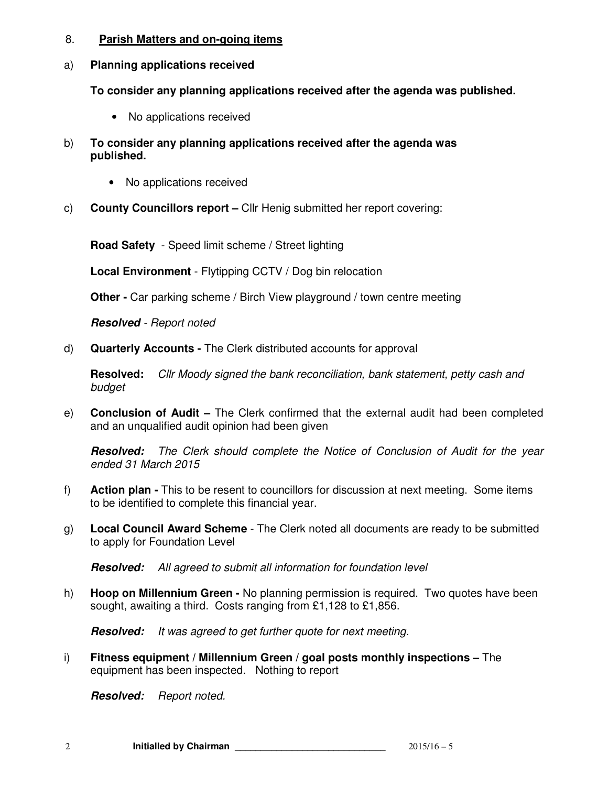#### 8. **Parish Matters and on-going items**

#### a) **Planning applications received**

**To consider any planning applications received after the agenda was published.** 

- No applications received
- b) **To consider any planning applications received after the agenda was published.** 
	- No applications received
- c) **County Councillors report** Cllr Henig submitted her report covering:

**Road Safety** - Speed limit scheme / Street lighting

**Local Environment** - Flytipping CCTV / Dog bin relocation

**Other -** Car parking scheme / Birch View playground / town centre meeting

**Resolved** - Report noted

d) **Quarterly Accounts -** The Clerk distributed accounts for approval

**Resolved:** Cllr Moody signed the bank reconciliation, bank statement, petty cash and budget

e) **Conclusion of Audit –** The Clerk confirmed that the external audit had been completed and an unqualified audit opinion had been given

**Resolved:** The Clerk should complete the Notice of Conclusion of Audit for the year ended 31 March 2015

- f) **Action plan** This to be resent to councillors for discussion at next meeting. Some items to be identified to complete this financial year.
- g) **Local Council Award Scheme**  The Clerk noted all documents are ready to be submitted to apply for Foundation Level

**Resolved:** All agreed to submit all information for foundation level

h) **Hoop on Millennium Green -** No planning permission is required. Two quotes have been sought, awaiting a third. Costs ranging from £1,128 to £1,856.

**Resolved:** It was agreed to get further quote for next meeting.

i) **Fitness equipment / Millennium Green / goal posts monthly inspections –** The equipment has been inspected. Nothing to report

**Resolved:** Report noted.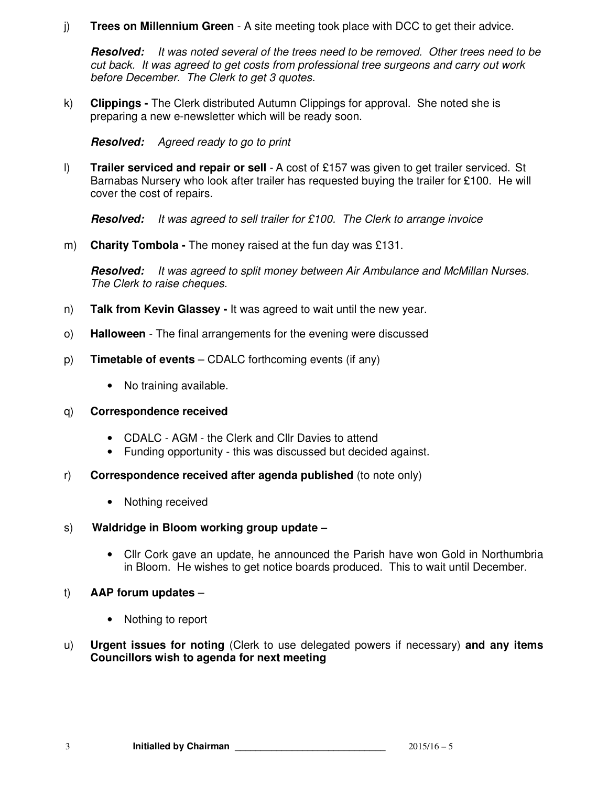## j) **Trees on Millennium Green** - A site meeting took place with DCC to get their advice.

**Resolved:** It was noted several of the trees need to be removed. Other trees need to be cut back. It was agreed to get costs from professional tree surgeons and carry out work before December. The Clerk to get 3 quotes.

k) **Clippings -** The Clerk distributed Autumn Clippings for approval. She noted she is preparing a new e-newsletter which will be ready soon.

**Resolved:** Agreed ready to go to print

l) **Trailer serviced and repair or sell** - A cost of £157 was given to get trailer serviced. St Barnabas Nursery who look after trailer has requested buying the trailer for £100. He will cover the cost of repairs.

**Resolved:** It was agreed to sell trailer for £100. The Clerk to arrange invoice

m) **Charity Tombola -** The money raised at the fun day was £131.

**Resolved:** It was agreed to split money between Air Ambulance and McMillan Nurses. The Clerk to raise cheques.

- n) **Talk from Kevin Glassey** It was agreed to wait until the new year.
- o) **Halloween**  The final arrangements for the evening were discussed
- p) **Timetable of events** CDALC forthcoming events (if any)
	- No training available.

#### q) **Correspondence received**

- CDALC AGM the Clerk and Cllr Davies to attend
- Funding opportunity this was discussed but decided against.
- r) **Correspondence received after agenda published** (to note only)
	- Nothing received
- s) **Waldridge in Bloom working group update** 
	- Cllr Cork gave an update, he announced the Parish have won Gold in Northumbria in Bloom. He wishes to get notice boards produced. This to wait until December.
- t) **AAP forum updates** 
	- Nothing to report
- u) **Urgent issues for noting** (Clerk to use delegated powers if necessary) **and any items Councillors wish to agenda for next meeting**